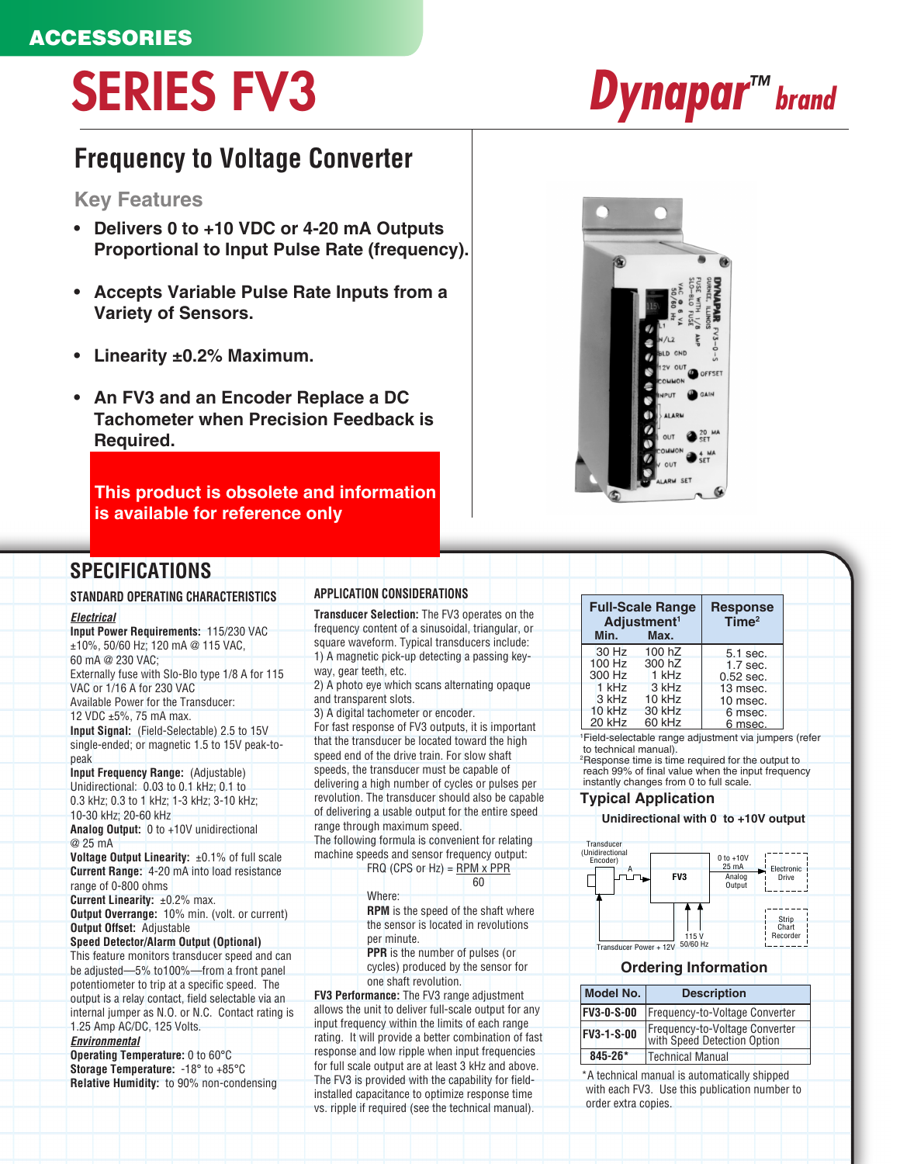## ACCESSORIES

# SERIES FV3 *Dynapar™ brand*

# **Frequency to Voltage Converter**

## **Key Features**

- **Delivers 0 to +10 VDC or 4-20 mA Outputs Proportional to Input Pulse Rate (frequency).**
- **Accepts Variable Pulse Rate Inputs from a Variety of Sensors.**
- **Linearity ±0.2% Maximum.**
- **An FV3 and an Encoder Replace a DC Tachometer when Precision Feedback is Required.**

**This product is obsolete and information is available for reference only**



## **SPECIFICATIONS**

#### **STANDARD OPERATING CHARACTERISTICS**

#### *Electrical*

**Input Power Requirements:** 115/230 VAC ±10%, 50/60 Hz; 120 mA @ 115 VAC, 60 mA @ 230 VAC; Externally fuse with Slo-Blo type 1/8 A for 115 VAC or 1/16 A for 230 VAC Available Power for the Transducer: 12 VDC ±5%, 75 mA max. **Input Signal:** (Field-Selectable) 2.5 to 15V single-ended; or magnetic 1.5 to 15V peak-topeak **Input Frequency Range:** (Adjustable) Unidirectional: 0.03 to 0.1 kHz; 0.1 to 0.3 kHz; 0.3 to 1 kHz; 1-3 kHz; 3-10 kHz; 10-30 kHz; 20-60 kHz **Analog Output:** 0 to +10V unidirectional @ 25 mA **Voltage Output Linearity:** ±0.1% of full scale **Current Range:** 4-20 mA into load resistance range of 0-800 ohms **Current Linearity:** ±0.2% max. **Output Overrange:** 10% min. (volt. or current) **Output Offset:** Adjustable **Speed Detector/Alarm Output (Optional)** This feature monitors transducer speed and can be adjusted—5% to100%—from a front panel potentiometer to trip at a specific speed. The output is a relay contact, field selectable via an internal jumper as N.O. or N.C. Contact rating is 1.25 Amp AC/DC, 125 Volts.

#### *Environmental*

**Operating Temperature:** 0 to 60°C **Storage Temperature:** -18° to +85°C **Relative Humidity:** to 90% non-condensing

### **APPLICATION CONSIDERATIONS**

**Transducer Selection:** The FV3 operates on the frequency content of a sinusoidal, triangular, or square waveform. Typical transducers include: 1) A magnetic pick-up detecting a passing keyway, gear teeth, etc.

2) A photo eye which scans alternating opaque and transparent slots.

3) A digital tachometer or encoder.

For fast response of FV3 outputs, it is important that the transducer be located toward the high speed end of the drive train. For slow shaft speeds, the transducer must be capable of delivering a high number of cycles or pulses per revolution. The transducer should also be capable of delivering a usable output for the entire speed range through maximum speed. The following formula is convenient for relating

machine speeds and sensor frequency output:

Where:

FRQ (CPS or Hz) =  $RPM \times PPR$ 

|  | ×<br>۰. |  |
|--|---------|--|
|  |         |  |
|  |         |  |

**RPM** is the speed of the shaft where the sensor is located in revolutions per minute.

**PPR** is the number of pulses (or cycles) produced by the sensor for one shaft revolution.

**FV3 Performance:** The FV3 range adjustment allows the unit to deliver full-scale output for any input frequency within the limits of each range rating. It will provide a better combination of fast response and low ripple when input frequencies for full scale output are at least 3 kHz and above. The FV3 is provided with the capability for fieldinstalled capacitance to optimize response time vs. ripple if required (see the technical manual).

| <b>Full-Scale Range</b><br>Adjustment <sup>1</sup> |                             | <b>Response</b><br>Time <sup>2</sup> |  |
|----------------------------------------------------|-----------------------------|--------------------------------------|--|
| Min.                                               | Max.                        |                                      |  |
| $30$ Hz<br>$100$ Hz<br>300 Hz                      | 100 hZ<br>300 hZ<br>$1$ kHz | 5.1 sec.<br>1.7 sec.<br>$0.52$ sec.  |  |
| $1$ kHz<br>$3$ kHz                                 | 3 kHz<br>10 kHz             | 13 msec.<br>10 msec.                 |  |
| $10$ kHz<br>20 kHz                                 | 30 kHz<br>60 kHz            | 6 msec.<br>6 msec.                   |  |

1 Field-selectable range adjustment via jumpers (refer to technical manual). 2 Response time is time required for the output to

reach 99% of final value when the input frequency instantly changes from 0 to full scale.

#### **Typical Application**

## **Unidirectional with 0 to +10V output**



#### **Ordering Information**

| Model No.         | <b>Description</b>                                            |
|-------------------|---------------------------------------------------------------|
| <b>FV3-0-S-00</b> | Frequency-to-Voltage Converter                                |
| <b>FV3-1-S-00</b> | Frequency-to-Voltage Converter<br>with Speed Detection Option |
| $845 - 26*$       | <b>Technical Manual</b>                                       |

\*A technical manual is automatically shipped with each FV3. Use this publication number to order extra copies.